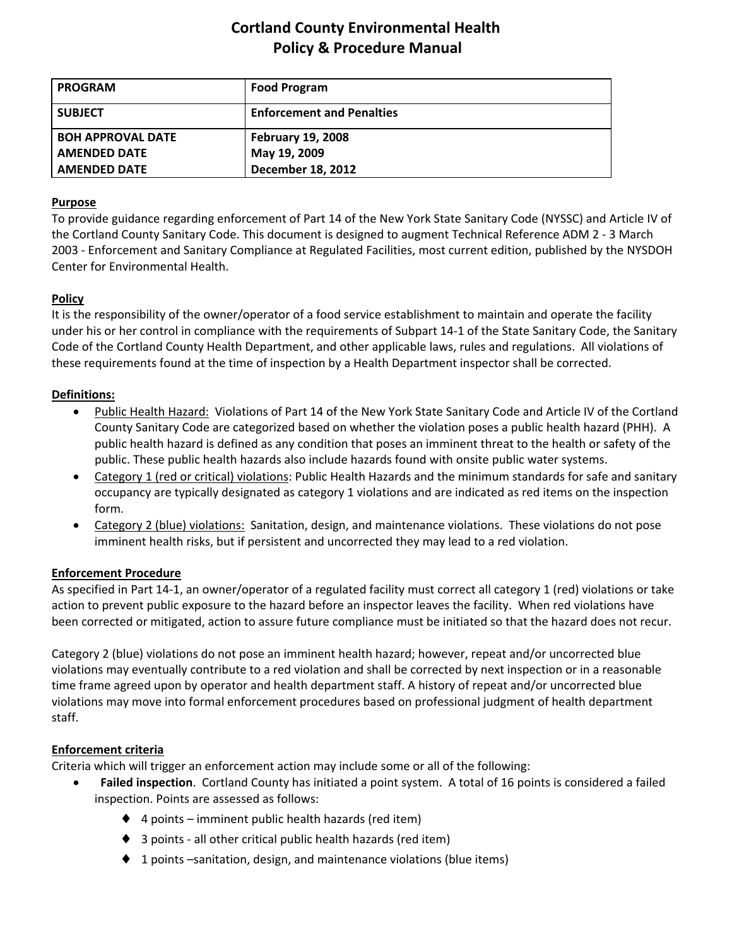# **Cortland County Environmental Health Policy & Procedure Manual**

| <b>PROGRAM</b>           | <b>Food Program</b>              |
|--------------------------|----------------------------------|
| <b>SUBJECT</b>           | <b>Enforcement and Penalties</b> |
| <b>BOH APPROVAL DATE</b> | <b>February 19, 2008</b>         |
| <b>AMENDED DATE</b>      | May 19, 2009                     |
| <b>AMENDED DATE</b>      | <b>December 18, 2012</b>         |

## **Purpose**

To provide guidance regarding enforcement of Part 14 of the New York State Sanitary Code (NYSSC) and Article IV of the Cortland County Sanitary Code. This document is designed to augment Technical Reference ADM 2 ‐ 3 March 2003 ‐ Enforcement and Sanitary Compliance at Regulated Facilities, most current edition, published by the NYSDOH Center for Environmental Health.

## **Policy**

It is the responsibility of the owner/operator of a food service establishment to maintain and operate the facility under his or her control in compliance with the requirements of Subpart 14‐1 of the State Sanitary Code, the Sanitary Code of the Cortland County Health Department, and other applicable laws, rules and regulations. All violations of these requirements found at the time of inspection by a Health Department inspector shall be corrected.

## **Definitions:**

- Public Health Hazard: Violations of Part 14 of the New York State Sanitary Code and Article IV of the Cortland County Sanitary Code are categorized based on whether the violation poses a public health hazard (PHH). A public health hazard is defined as any condition that poses an imminent threat to the health or safety of the public. These public health hazards also include hazards found with onsite public water systems.
- Category 1 (red or critical) violations: Public Health Hazards and the minimum standards for safe and sanitary occupancy are typically designated as category 1 violations and are indicated as red items on the inspection form.
- Category 2 (blue) violations: Sanitation, design, and maintenance violations. These violations do not pose imminent health risks, but if persistent and uncorrected they may lead to a red violation.

## **Enforcement Procedure**

As specified in Part 14‐1, an owner/operator of a regulated facility must correct all category 1 (red) violations or take action to prevent public exposure to the hazard before an inspector leaves the facility. When red violations have been corrected or mitigated, action to assure future compliance must be initiated so that the hazard does not recur.

Category 2 (blue) violations do not pose an imminent health hazard; however, repeat and/or uncorrected blue violations may eventually contribute to a red violation and shall be corrected by next inspection or in a reasonable time frame agreed upon by operator and health department staff. A history of repeat and/or uncorrected blue violations may move into formal enforcement procedures based on professional judgment of health department staff.

## **Enforcement criteria**

Criteria which will trigger an enforcement action may include some or all of the following:

- **Failed inspection**. Cortland County has initiated a point system. A total of 16 points is considered a failed inspection. Points are assessed as follows:
	- $\blacklozenge$  4 points imminent public health hazards (red item)
	- ♦ 3 points ‐ all other critical public health hazards (red item)
	- ♦ 1 points –sanitation, design, and maintenance violations (blue items)